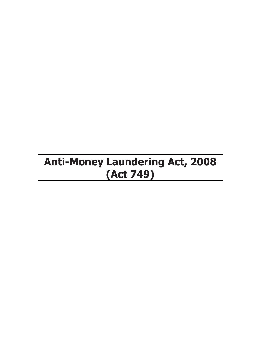# **Anti-Money Laundering Act, 2008 (Act 749)**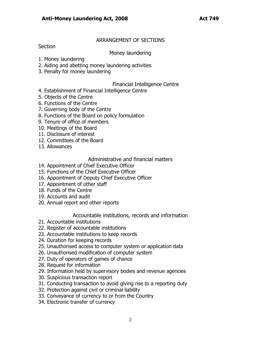#### ARRANGEMENT OF SECTIONS

**Section** 

#### Money laundering

- 1. Money laundering
- 2. Aiding and abetting money laundering activities
- 3. Penalty for money laundering

#### Financial Intelligence Centre

- 4. Establishment of Financial Intelligence Centre
- 5. Objects of the Centre
- 6. Functions of the Centre
- 7. Governing body of the Centre
- 8. Functions of the Board on policy formulation
- 9. Tenure of office of members
- 10. Meetings of the Board
- 11. Disclosure of interest
- 12. Committees of the Board
- 13. Allowances

### Administrative and financial matters

- 14. Appointment of Chief Executive Officer
- 15. Functions of the Chief Executive Officer
- 16. Appointment of Deputy Chief Executive Officer
- 17. Appointment of other staff
- 18. Funds of the Centre
- 19. Accounts and audit
- 20. Annual report and other reports

### Accountable institutions, records and information

- 21. Accountable institutions
- 22. Register of accountable institutions
- 23. Accountable institutions to keep records
- 24. Duration for keeping records
- 25. Unauthorised access to computer system or application data
- 26. Unauthorised modification of computer system
- 27. Duty of operators of games of chance
- 28. Request for information
- 29. Information held by supervisory bodies and revenue agencies
- 30. Suspicious transaction report
- 31. Conducting transaction to avoid giving rise to a reporting duty
- 32. Protection against civil or criminal liability
- 33. Conveyance of currency to or from the Country
- 34. Electronic transfer of currency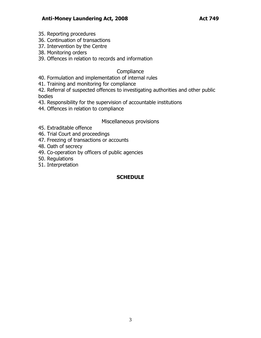- 35. Reporting procedures
- 36. Continuation of transactions
- 37. Intervention by the Centre
- 38. Monitoring orders
- 39. Offences in relation to records and information

## **Compliance**

- 40. Formulation and implementation of internal rules
- 41. Training and monitoring for compliance
- 42. Referral of suspected offences to investigating authorities and other public bodies
- 43. Responsibility for the supervision of accountable institutions
- 44. Offences in relation to compliance

## Miscellaneous provisions

- 45. Extraditable offence
- 46. Trial Court and proceedings
- 47. Freezing of transactions or accounts
- 48. Oath of secrecy
- 49. Co-operation by officers of public agencies
- 50. Regulations
- 51. Interpretation

## **SCHEDULE**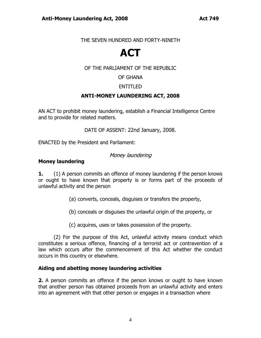#### THE SEVEN HUNDRED AND FORTY-NINETH

## **ACT**

### OF THE PARLIAMENT OF THE REPUBLIC

OF GHANA

### ENTITLED

### **ANTI-MONEY LAUNDERING ACT, 2008**

AN ACT to prohibit money laundering, establish a Financial Intelligence Centre and to provide for related matters.

DATE OF ASSENT: 22nd January, 2008.

ENACTED by the President and Parliament:

### Money laundering

#### **Money laundering**

**1.** (1) A person commits an offence of money laundering if the person knows or ought to have known that property is or forms part of the proceeds of unlawful activity and the person

- (a) converts, conceals, disguises or transfers the property,
- (b) conceals or disguises the unlawful origin of the property, or
- (c) acquires, uses or takes possession of the property.

(2) For the purpose of this Act, unlawful activity means conduct which constitutes a serious offence, financing of a terrorist act or contravention of a law which occurs after the commencement of this Act whether the conduct occurs in this country or elsewhere.

#### **Aiding and abetting money laundering activities**

**2.** A person commits an offence if the person knows or ought to have known that another person has obtained proceeds from an unlawful activity and enters into an agreement with that other person or engages in a transaction where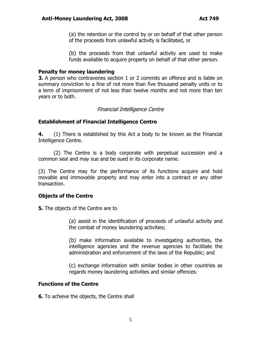(a) the retention or the control by or on behalf of that other person of the proceeds from unlawful activity is facilitated, or

(b) the proceeds from that unlawful activity are used to make funds available to acquire property on behalf of that other person.

#### **Penalty for money laundering**

**3.** A person who contravenes section 1 or 2 commits an offence and is liable on summary conviction to a fine of not more than five thousand penalty units or to a term of imprisonment of not less than twelve months and not more than ten years or to both.

#### Financial Intelligence Centre

#### **Establishment of Financial Intelligence Centre**

**4.** (1) There is established by this Act a body to be known as the Financial Intelligence Centre.

(2) The Centre is a body corporate with perpetual succession and a common seal and may sue and be sued in its corporate name.

(3) The Centre may for the performance of its functions acquire and hold movable and immovable property and may enter into a contract or any other transaction.

#### **Objects of the Centre**

**5.** The objects of the Centre are to

(a) assist in the identification of proceeds of unlawful activity and the combat of money laundering activities;

(b) make information available to investigating authorities, the intelligence agencies and the revenue agencies to facilitate the administration and enforcement of the laws of the Republic; and

(c) exchange information with similar bodies in other countries as regards money laundering activities and similar offences.

#### **Functions of the Centre**

**6.** To achieve the objects, the Centre shall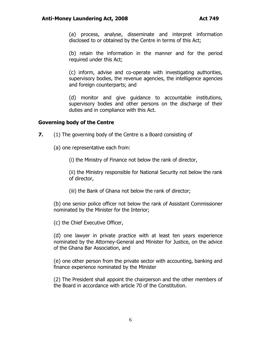(a) process, analyse, disseminate and interpret information disclosed to or obtained by the Centre in terms of this Act;

(b) retain the information in the manner and for the period required under this Act;

(c) inform, advise and co-operate with investigating authorities, supervisory bodies, the revenue agencies, the intelligence agencies and foreign counterparts; and

(d) monitor and give guidance to accountable institutions, supervisory bodies and other persons on the discharge of their duties and in compliance with this Act.

#### **Governing body of the Centre**

- **7.** (1) The governing body of the Centre is a Board consisting of
	- (a) one representative each from:

(i) the Ministry of Finance not below the rank of director,

(ii) the Ministry responsible for National Security not below the rank of director,

(iii) the Bank of Ghana not below the rank of director;

(b) one senior police officer not below the rank of Assistant Commissioner nominated by the Minister for the Interior;

(c) the Chief Executive Officer,

(d) one lawyer in private practice with at least ten years experience nominated by the Attorney-General and Minister for Justice, on the advice of the Ghana Bar Association, and

(e) one other person from the private sector with accounting, banking and finance experience nominated by the Minister

(2) The President shall appoint the chairperson and the other members of the Board in accordance with article 70 of the Constitution.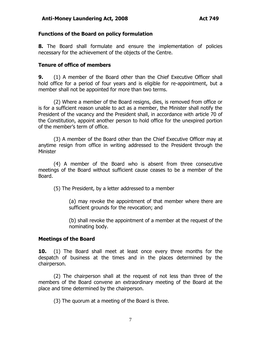#### **Functions of the Board on policy formulation**

**8.** The Board shall formulate and ensure the implementation of policies necessary for the achievement of the objects of the Centre.

#### **Tenure of office of members**

**9.** (1) A member of the Board other than the Chief Executive Officer shall hold office for a period of four years and is eligible for re-appointment, but a member shall not be appointed for more than two terms.

(2) Where a member of the Board resigns, dies, is removed from office or is for a sufficient reason unable to act as a member, the Minister shall notify the President of the vacancy and the President shall, in accordance with article 70 of the Constitution, appoint another person to hold office for the unexpired portion of the member"s term of office.

(3) A member of the Board other than the Chief Executive Officer may at anytime resign from office in writing addressed to the President through the Minister

(4) A member of the Board who is absent from three consecutive meetings of the Board without sufficient cause ceases to be a member of the Board.

(5) The President, by a letter addressed to a member

(a) may revoke the appointment of that member where there are sufficient grounds for the revocation; and

(b) shall revoke the appointment of a member at the request of the nominating body.

#### **Meetings of the Board**

**10.** (1) The Board shall meet at least once every three months for the despatch of business at the times and in the places determined by the chairperson.

(2) The chairperson shall at the request of not less than three of the members of the Board convene an extraordinary meeting of the Board at the place and time determined by the chairperson.

(3) The quorum at a meeting of the Board is three.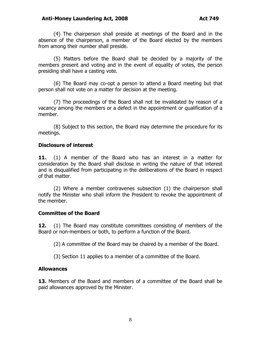#### **Anti-Money Laundering Act, 2008 Act 749**

(4) The chairperson shall preside at meetings of the Board and in the absence of the chairperson, a member of the Board elected by the members from among their number shall preside.

(5) Matters before the Board shall be decided by a majority of the members present and voting and in the event of equality of votes, the person presiding shall have a casting vote.

(6) The Board may co-opt a person to attend a Board meeting but that person shall not vote on a matter for decision at the meeting.

(7) The proceedings of the Board shall not be invalidated by reason of a vacancy among the members or a defect in the appointment or qualification of a member.

(8) Subject to this section, the Board may determine the procedure for its meetings.

#### **Disclosure of interest**

**11.** (1) A member of the Board who has an interest in a matter for consideration by the Board shall disclose in writing the nature of that interest and is disqualified from participating in the deliberations of the Board in respect of that matter.

(2) Where a member contravenes subsection (1) the chairperson shall notify the Minister who shall inform the President to revoke the appointment of the member.

#### **Committee of the Board**

**12.** (1) The Board may constitute committees consisting of members of the Board or non-members or both, to perform a function of the Board.

(2) A committee of the Board may be chaired by a member of the Board.

(3) Section 11 applies to a member of a committee of the Board.

#### **Allowances**

**13.** Members of the Board and members of a committee of the Board shall be paid allowances approved by the Minister.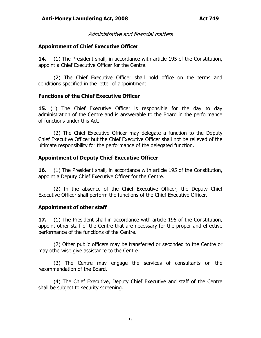Administrative and financial matters

#### **Appointment of Chief Executive Officer**

**14.** (1) The President shall, in accordance with article 195 of the Constitution, appoint a Chief Executive Officer for the Centre.

(2) The Chief Executive Officer shall hold office on the terms and conditions specified in the letter of appointment.

#### **Functions of the Chief Executive Officer**

**15.** (1) The Chief Executive Officer is responsible for the day to day administration of the Centre and is answerable to the Board in the performance of functions under this Act.

(2) The Chief Executive Officer may delegate a function to the Deputy Chief Executive Officer but the Chief Executive Officer shall not be relieved of the ultimate responsibility for the performance of the delegated function.

#### **Appointment of Deputy Chief Executive Officer**

**16.** (1) The President shall, in accordance with article 195 of the Constitution, appoint a Deputy Chief Executive Officer for the Centre.

(2) In the absence of the Chief Executive Officer, the Deputy Chief Executive Officer shall perform the functions of the Chief Executive Officer.

### **Appointment of other staff**

**17.** (1) The President shall in accordance with article 195 of the Constitution, appoint other staff of the Centre that are necessary for the proper and effective performance of the functions of the Centre.

(2) Other public officers may be transferred or seconded to the Centre or may otherwise give assistance to the Centre.

(3) The Centre may engage the services of consultants on the recommendation of the Board.

(4) The Chief Executive, Deputy Chief Executive and staff of the Centre shall be subject to security screening.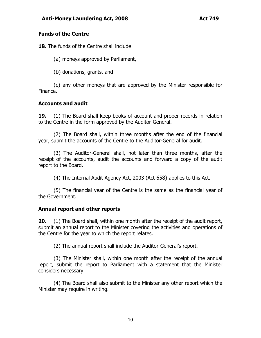#### **Funds of the Centre**

**18.** The funds of the Centre shall include

(a) moneys approved by Parliament,

(b) donations, grants, and

(c) any other moneys that are approved by the Minister responsible for Finance.

### **Accounts and audit**

**19.** (1) The Board shall keep books of account and proper records in relation to the Centre in the form approved by the Auditor-General.

(2) The Board shall, within three months after the end of the financial year, submit the accounts of the Centre to the Auditor-General for audit.

(3) The Auditor-General shall, not later than three months, after the receipt of the accounts, audit the accounts and forward a copy of the audit report to the Board.

(4) The Internal Audit Agency Act, 2003 (Act 658) applies to this Act.

(5) The financial year of the Centre is the same as the financial year of the Government.

### **Annual report and other reports**

**20.** (1) The Board shall, within one month after the receipt of the audit report, submit an annual report to the Minister covering the activities and operations of the Centre for the year to which the report relates.

(2) The annual report shall include the Auditor-General"s report.

(3) The Minister shall, within one month after the receipt of the annual report, submit the report to Parliament with a statement that the Minister considers necessary.

(4) The Board shall also submit to the Minister any other report which the Minister may require in writing.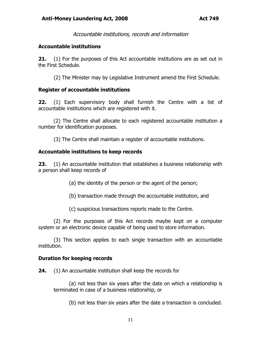Accountable institutions, records and information

#### **Accountable institutions**

**21.** (1) For the purposes of this Act accountable institutions are as set out in the First Schedule.

(2) The Minister may by Legislative Instrument amend the First Schedule.

### **Register of accountable institutions**

**22.** (1) Each supervisory body shall furnish the Centre with a list of accountable institutions which are registered with it.

(2) The Centre shall allocate to each registered accountable institution a number for identification purposes.

(3) The Centre shall maintain a register of accountable institutions.

### **Accountable institutions to keep records**

**23.** (1) An accountable institution that establishes a business relationship with a person shall keep records of

(a) the identity of the person or the agent of the person;

(b) transaction made through the accountable institution, and

(c) suspicious transactions reports made to the Centre.

(2) For the purposes of this Act records maybe kept on a computer system or an electronic device capable of being used to store information.

(3) This section applies to each single transaction with an accountable institution.

### **Duration for keeping records**

**24.** (1) An accountable institution shall keep the records for

(a) not less than six years after the date on which a relationship is terminated in case of a business relationship, or

(b) not less than six years after the date a transaction is concluded.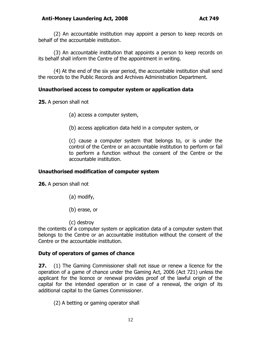(2) An accountable institution may appoint a person to keep records on behalf of the accountable institution.

(3) An accountable institution that appoints a person to keep records on its behalf shall inform the Centre of the appointment in writing.

(4) At the end of the six year period, the accountable institution shall send the records to the Public Records and Archives Administration Department.

### **Unauthorised access to computer system or application data**

**25.** A person shall not

- (a) access a computer system,
- (b) access application data held in a computer system, or

(c) cause a computer system that belongs to, or is under the control of the Centre or an accountable institution to perform or fail to perform a function without the consent of the Centre or the accountable institution.

#### **Unauthorised modification of computer system**

**26.** A person shall not

- (a) modify,
- (b) erase, or
- (c) destroy

the contents of a computer system or application data of a computer system that belongs to the Centre or an accountable institution without the consent of the Centre or the accountable institution.

#### **Duty of operators of games of chance**

**27.** (1) The Gaming Commissioner shall not issue or renew a licence for the operation of a game of chance under the Gaming Act, 2006 (Act 721) unless the applicant for the licence or renewal provides proof of the lawful origin of the capital for the intended operation or in case of a renewal, the origin of its additional capital to the Games Commissioner.

(2) A betting or gaming operator shall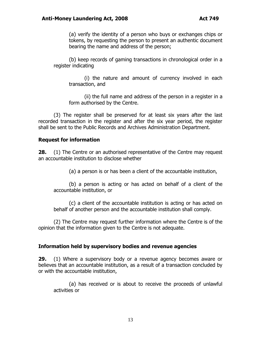(a) verify the identity of a person who buys or exchanges chips or tokens, by requesting the person to present an authentic document bearing the name and address of the person;

(b) keep records of gaming transactions in chronological order in a register indicating

(i) the nature and amount of currency involved in each transaction, and

(ii) the full name and address of the person in a register in a form authorised by the Centre.

(3) The register shall be preserved for at least six years after the last recorded transaction in the register and after the six year period, the register shall be sent to the Public Records and Archives Administration Department.

#### **Request for information**

**28.** (1) The Centre or an authorised representative of the Centre may request an accountable institution to disclose whether

(a) a person is or has been a client of the accountable institution,

(b) a person is acting or has acted on behalf of a client of the accountable institution, or

(c) a client of the accountable institution is acting or has acted on behalf of another person and the accountable institution shall comply.

(2) The Centre may request further information where the Centre is of the opinion that the information given to the Centre is not adequate.

#### **Information held by supervisory bodies and revenue agencies**

**29.** (1) Where a supervisory body or a revenue agency becomes aware or believes that an accountable institution, as a result of a transaction concluded by or with the accountable institution,

(a) has received or is about to receive the proceeds of unlawful activities or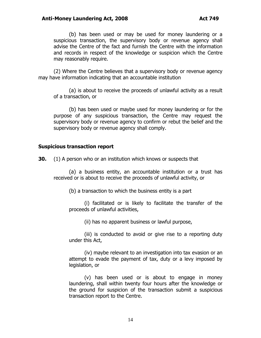(b) has been used or may be used for money laundering or a suspicious transaction, the supervisory body or revenue agency shall advise the Centre of the fact and furnish the Centre with the information and records in respect of the knowledge or suspicion which the Centre may reasonably require.

(2) Where the Centre believes that a supervisory body or revenue agency may have information indicating that an accountable institution

(a) is about to receive the proceeds of unlawful activity as a result of a transaction, or

(b) has been used or maybe used for money laundering or for the purpose of any suspicious transaction, the Centre may request the supervisory body or revenue agency to confirm or rebut the belief and the supervisory body or revenue agency shall comply.

#### **Suspicious transaction report**

**30.** (1) A person who or an institution which knows or suspects that

(a) a business entity, an accountable institution or a trust has received or is about to receive the proceeds of unlawful activity, or

(b) a transaction to which the business entity is a part

(i) facilitated or is likely to facilitate the transfer of the proceeds of unlawful activities,

(ii) has no apparent business or lawful purpose,

(iii) is conducted to avoid or give rise to a reporting duty under this Act,

(iv) maybe relevant to an investigation into tax evasion or an attempt to evade the payment of tax, duty or a levy imposed by legislation, or

(v) has been used or is about to engage in money laundering, shall within twenty four hours after the knowledge or the ground for suspicion of the transaction submit a suspicious transaction report to the Centre.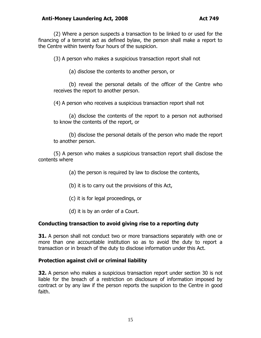#### **Anti-Money Laundering Act, 2008 Act 749**

(2) Where a person suspects a transaction to be linked to or used for the financing of a terrorist act as defined bylaw, the person shall make a report to the Centre within twenty four hours of the suspicion.

(3) A person who makes a suspicious transaction report shall not

(a) disclose the contents to another person, or

(b) reveal the personal details of the officer of the Centre who receives the report to another person.

(4) A person who receives a suspicious transaction report shall not

(a) disclose the contents of the report to a person not authorised to know the contents of the report, or

(b) disclose the personal details of the person who made the report to another person.

(5) A person who makes a suspicious transaction report shall disclose the contents where

(a) the person is required by law to disclose the contents,

(b) it is to carry out the provisions of this Act,

(c) it is for legal proceedings, or

(d) it is by an order of a Court.

#### **Conducting transaction to avoid giving rise to a reporting duty**

**31.** A person shall not conduct two or more transactions separately with one or more than one accountable institution so as to avoid the duty to report a transaction or in breach of the duty to disclose information under this Act.

#### **Protection against civil or criminal liability**

**32.** A person who makes a suspicious transaction report under section 30 is not liable for the breach of a restriction on disclosure of information imposed by contract or by any law if the person reports the suspicion to the Centre in good faith.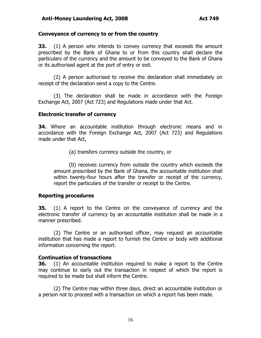#### **Conveyance of currency to or from the country**

**33.** (1) A person who intends to convey currency that exceeds the amount prescribed by the Bank of Ghana to or from this country shall declare the particulars of the currency and the amount to be conveyed to the Bank of Ghana or its authorised agent at the port of entry or exit.

(2) A person authorised to receive the declaration shall immediately on receipt of the declaration send a copy to the Centre.

(3) The declaration shall be made in accordance with the Foreign Exchange Act, 2007 (Act 723) and Regulations made under that Act.

#### **Electronic transfer of currency**

**34.** Where an accountable institution through electronic means and in accordance with the Foreign Exchange Act, 2007 (Act 723) and Regulations made under that Act,

(a) transfers currency outside the country, or

(b) receives currency from outside the country which exceeds the amount prescribed by the Bank of Ghana, the accountable institution shall within twenty-four hours after the transfer or receipt of the currency, report the particulars of the transfer or receipt to the Centre.

#### **Reporting procedures**

**35.** (1) A report to the Centre on the conveyance of currency and the electronic transfer of currency by an accountable institution shall be made in a manner prescribed.

(2) The Centre or an authorised officer, may request an accountable institution that has made a report to furnish the Centre or body with additional information concerning the report.

#### **Continuation of transactions**

**36.** (1) An accountable institution required to make a report to the Centre may continue to early out the transaction in respect of which the report is required to be made but shall inform the Centre.

(2) The Centre may within three days, direct an accountable institution or a person not to proceed with a transaction on which a report has been made.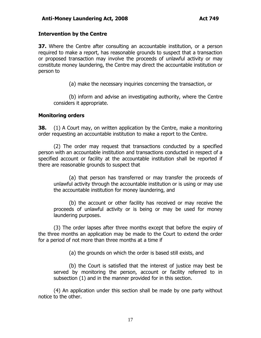#### **Intervention by the Centre**

**37.** Where the Centre after consulting an accountable institution, or a person required to make a report, has reasonable grounds to suspect that a transaction or proposed transaction may involve the proceeds of unlawful activity or may constitute money laundering, the Centre may direct the accountable institution or person to

(a) make the necessary inquiries concerning the transaction, or

(b) inform and advise an investigating authority, where the Centre considers it appropriate.

#### **Monitoring orders**

**38.** (1) A Court may, on written application by the Centre, make a monitoring order requesting an accountable institution to make a report to the Centre.

(2) The order may request that transactions conducted by a specified person with an accountable institution and transactions conducted in respect of a specified account or facility at the accountable institution shall be reported if there are reasonable grounds to suspect that

(a) that person has transferred or may transfer the proceeds of unlawful activity through the accountable institution or is using or may use the accountable institution for money laundering, and

(b) the account or other facility has received or may receive the proceeds of unlawful activity or is being or may be used for money laundering purposes.

(3) The order lapses after three months except that before the expiry of the three months an application may be made to the Court to extend the order for a period of not more than three months at a time if

(a) the grounds on which the order is based still exists, and

(b) the Court is satisfied that the interest of justice may best be served by monitoring the person, account or facility referred to in subsection (1) and in the manner provided for in this section.

(4) An application under this section shall be made by one party without notice to the other.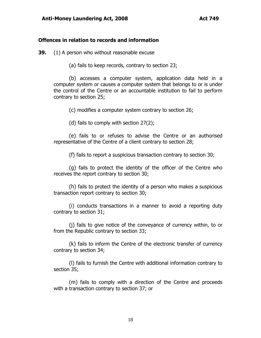#### **Offences in relation to records and information**

**39.** (1) A person who without reasonable excuse

(a) fails to keep records, contrary to section 23;

(b) accesses a computer system, application data held in a computer system or causes a computer system that belongs to or is under the control of the Centre or an accountable institution to fail to perform contrary to section 25;

(c) modifies a computer system contrary to section 26;

(d) fails to comply with section 27(2);

(e) fails to or refuses to advise the Centre or an authorised representative of the Centre of a client contrary to section 28;

(f) fails to report a suspicious transaction contrary to section 30;

(g) fails to protect the identity of the officer of the Centre who receives the report contrary to section 30;

(h) fails to protect the identity of a person who makes a suspicious transaction report contrary to section 30;

(i) conducts transactions in a manner to avoid a reporting duty contrary to section 31;

(j) fails to give notice of the conveyance of currency within, to or from the Republic contrary to section 33;

(k) fails to inform the Centre of the electronic transfer of currency contrary to section 34;

(l) fails to furnish the Centre with additional information contrary to section 35;

(m) fails to comply with a direction of the Centre and proceeds with a transaction contrary to section 37; or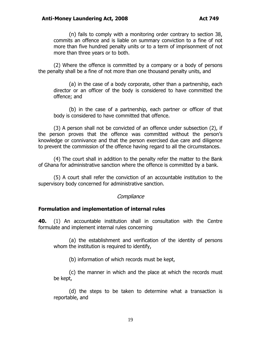(n) fails to comply with a monitoring order contrary to section 38, commits an offence and is liable on summary conviction to a fine of not more than five hundred penalty units or to a term of imprisonment of not more than three years or to both.

(2) Where the offence is committed by a company or a body of persons the penalty shall be a fine of not more than one thousand penalty units, and

(a) in the case of a body corporate, other than a partnership, each director or an officer of the body is considered to have committed the offence; and

(b) in the case of a partnership, each partner or officer of that body is considered to have committed that offence.

(3) A person shall not be convicted of an offence under subsection (2), if the person proves that the offence was committed without the person's knowledge or connivance and that the person exercised due care and diligence to prevent the commission of the offence having regard to all the circumstances.

(4) The court shall in addition to the penalty refer the matter to the Bank of Ghana for administrative sanction where the offence is committed by a bank.

(5) A court shall refer the conviction of an accountable institution to the supervisory body concerned for administrative sanction.

#### **Compliance**

#### **Formulation and implementation of internal rules**

**40.** (1) An accountable institution shall in consultation with the Centre formulate and implement internal rules concerning

(a) the establishment and verification of the identity of persons whom the institution is required to identify,

(b) information of which records must be kept,

(c) the manner in which and the place at which the records must be kept,

(d) the steps to be taken to determine what a transaction is reportable, and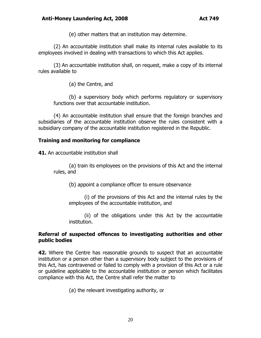(e) other matters that an institution may determine.

(2) An accountable institution shall make its internal rules available to its employees involved in dealing with transactions to which this Act applies.

(3) An accountable institution shall, on request, make a copy of its internal rules available to

(a) the Centre, and

(b) a supervisory body which performs regulatory or supervisory functions over that accountable institution.

(4) An accountable institution shall ensure that the foreign branches and subsidiaries of the accountable institution observe the rules consistent with a subsidiary company of the accountable institution registered in the Republic.

#### **Training and monitoring for compliance**

**41.** An accountable institution shall

(a) train its employees on the provisions of this Act and the internal rules, and

(b) appoint a compliance officer to ensure observance

(i) of the provisions of this Act and the internal rules by the employees of the accountable institution, and

(ii) of the obligations under this Act by the accountable institution.

#### **Referral of suspected offences to investigating authorities and other public bodies**

**42.** Where the Centre has reasonable grounds to suspect that an accountable institution or a person other than a supervisory body subject to the provisions of this Act, has contravened or failed to comply with a provision of this Act or a rule or guideline applicable to the accountable institution or person which facilitates compliance with this Act, the Centre shall refer the matter to

(a) the relevant investigating authority, or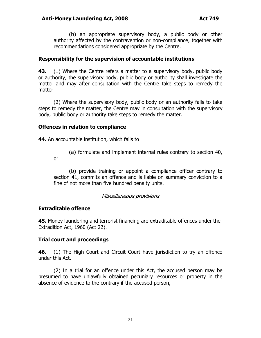(b) an appropriate supervisory body, a public body or other authority affected by the contravention or non-compliance, together with recommendations considered appropriate by the Centre.

#### **Responsibility for the supervision of accountable institutions**

**43.** (1) Where the Centre refers a matter to a supervisory body, public body or authority, the supervisory body, public body or authority shall investigate the matter and may after consultation with the Centre take steps to remedy the matter

(2) Where the supervisory body, public body or an authority fails to take steps to remedy the matter, the Centre may in consultation with the supervisory body, public body or authority take steps to remedy the matter.

#### **Offences in relation to compliance**

**44.** An accountable institution, which fails to

(a) formulate and implement internal rules contrary to section 40,

or

(b) provide training or appoint a compliance officer contrary to section 41, commits an offence and is liable on summary conviction to a fine of not more than five hundred penalty units.

#### Miscellaneous provisions

### **Extraditable offence**

**45.** Money laundering and terrorist financing are extraditable offences under the Extradition Act, 1960 (Act 22).

### **Trial court and proceedings**

**46.** (1) The High Court and Circuit Court have jurisdiction to try an offence under this Act.

(2) In a trial for an offence under this Act, the accused person may be presumed to have unlawfully obtained pecuniary resources or property in the absence of evidence to the contrary if the accused person,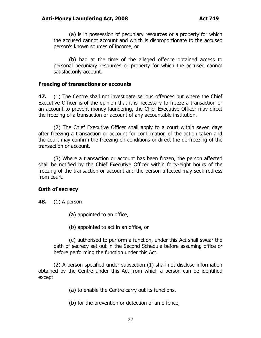(a) is in possession of pecuniary resources or a property for which the accused cannot account and which is disproportionate to the accused person's known sources of income, or

(b) had at the time of the alleged offence obtained access to personal pecuniary resources or property for which the accused cannot satisfactorily account.

#### **Freezing of transactions or accounts**

**47.** (1) The Centre shall not investigate serious offences but where the Chief Executive Officer is of the opinion that it is necessary to freeze a transaction or an account to prevent money laundering, the Chief Executive Officer may direct the freezing of a transaction or account of any accountable institution.

(2) The Chief Executive Officer shall apply to a court within seven days after freezing a transaction or account for confirmation of the action taken and the court may confirm the freezing on conditions or direct the de-freezing of the transaction or account.

(3) Where a transaction or account has been frozen, the person affected shall be notified by the Chief Executive Officer within forty-eight hours of the freezing of the transaction or account and the person affected may seek redress from court.

#### **Oath of secrecy**

- **48.** (1) A person
	- (a) appointed to an office,
	- (b) appointed to act in an office, or

(c) authorised to perform a function, under this Act shall swear the oath of secrecy set out in the Second Schedule before assuming office or before performing the function under this Act.

(2) A person specified under subsection (1) shall not disclose information obtained by the Centre under this Act from which a person can be identified except

(a) to enable the Centre carry out its functions,

(b) for the prevention or detection of an offence,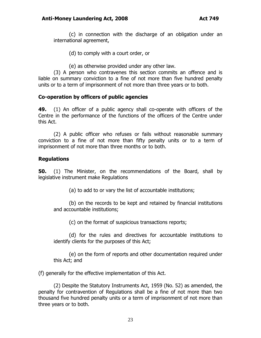(c) in connection with the discharge of an obligation under an international agreement,

- (d) to comply with a court order, or
- (e) as otherwise provided under any other law.

(3) A person who contravenes this section commits an offence and is liable on summary conviction to a fine of not more than five hundred penalty units or to a term of imprisonment of not more than three years or to both.

#### **Co-operation by officers of public agencies**

**49.** (1) An officer of a public agency shall co-operate with officers of the Centre in the performance of the functions of the officers of the Centre under this Act.

(2) A public officer who refuses or fails without reasonable summary conviction to a fine of not more than fifty penalty units or to a term of imprisonment of not more than three months or to both.

#### **Regulations**

**50.** (1) The Minister, on the recommendations of the Board, shall by legislative instrument make Regulations

(a) to add to or vary the list of accountable institutions;

(b) on the records to be kept and retained by financial institutions and accountable institutions;

(c) on the format of suspicious transactions reports;

(d) for the rules and directives for accountable institutions to identify clients for the purposes of this Act;

(e) on the form of reports and other documentation required under this Act; and

(f) generally for the effective implementation of this Act.

(2) Despite the Statutory Instruments Act, 1959 (No. 52) as amended, the penalty for contravention of Regulations shall be a fine of not more than two thousand five hundred penalty units or a term of imprisonment of not more than three years or to both.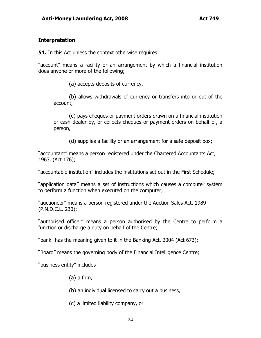#### **Interpretation**

**51.** In this Act unless the context otherwise requires:

"account" means a facility or an arrangement by which a financial institution does anyone or more of the following;

(a) accepts deposits of currency,

(b) allows withdrawals of currency or transfers into or out of the account,

(c) pays cheques or payment orders drawn on a financial institution or cash dealer by, or collects cheques or payment orders on behalf of, a person,

(d) supplies a facility or an arrangement for a safe deposit box;

"accountant" means a person registered under the Chartered Accountants Act, 1963, (Act 176);

"accountable institution" includes the institutions set out in the First Schedule;

"application data" means a set of instructions which causes a computer system to perform a function when executed on the computer;

"auctioneer" means a person registered under the Auction Sales Act, 1989 (P.N.D.C.L. 230);

"authorised officer" means a person authorised by the Centre to perform a function or discharge a duty on behalf of the Centre;

"bank" has the meaning given to it in the Banking Act, 2004 (Act 673);

"Board" means the governing body of the Financial Intelligence Centre;

"business entity" includes

- (a) a firm,
- (b) an individual licensed to carry out a business,
- (c) a limited liability company, or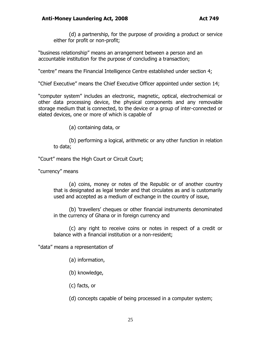(d) a partnership, for the purpose of providing a product or service either for profit or non-profit;

"business relationship" means an arrangement between a person and an accountable institution for the purpose of concluding a transaction;

"centre" means the Financial Intelligence Centre established under section 4;

"Chief Executive" means the Chief Executive Officer appointed under section 14;

"computer system" includes an electronic, magnetic, optical, electrochemical or other data processing device, the physical components and any removable storage medium that is connected, to the device or a group of inter-connected or elated devices, one or more of which is capable of

(a) containing data, or

(b) performing a logical, arithmetic or any other function in relation to data;

"Court" means the High Court or Circuit Court;

"currency" means

(a) coins, money or notes of the Republic or of another country that is designated as legal tender and that circulates as and is customarily used and accepted as a medium of exchange in the country of issue,

(b) "travellers" cheques or other financial instruments denominated in the currency of Ghana or in foreign currency and

(c) any right to receive coins or notes in respect of a credit or balance with a financial institution or a non-resident;

"data" means a representation of

(a) information,

(b) knowledge,

(c) facts, or

(d) concepts capable of being processed in a computer system;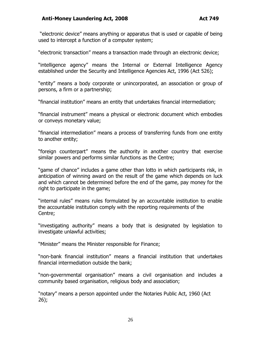#### **Anti-Money Laundering Act, 2008 Act 749**

"electronic device" means anything or apparatus that is used or capable of being used to intercept a function of a computer system;

"electronic transaction" means a transaction made through an electronic device;

"intelligence agency" means the Internal or External Intelligence Agency established under the Security and Intelligence Agencies Act, 1996 (Act 526);

"entity" means a body corporate or unincorporated, an association or group of persons, a firm or a partnership;

"financial institution" means an entity that undertakes financial intermediation;

"financial instrument" means a physical or electronic document which embodies or conveys monetary value;

"financial intermediation" means a process of transferring funds from one entity to another entity;

"foreign counterpart" means the authority in another country that exercise similar powers and performs similar functions as the Centre;

"game of chance" includes a game other than lotto in which participants risk, in anticipation of winning award on the result of the game which depends on luck and which cannot be determined before the end of the game, pay money for the right to participate in the game;

"internal rules" means rules formulated by an accountable institution to enable the accountable institution comply with the reporting requirements of the Centre;

"investigating authority" means a body that is designated by legislation to investigate unlawful activities;

"Minister" means the Minister responsible for Finance;

"non-bank financial institution" means a financial institution that undertakes financial intermediation outside the bank;

"non-governmental organisation" means a civil organisation and includes a community based organisation, religious body and association;

"notary" means a person appointed under the Notaries Public Act, 1960 (Act 26);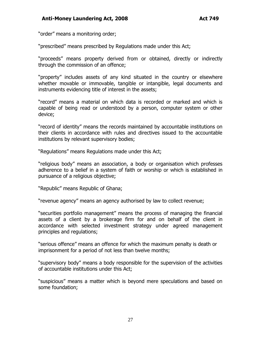#### **Anti-Money Laundering Act, 2008 Act 749**

"order" means a monitoring order;

"prescribed" means prescribed by Regulations made under this Act;

"proceeds" means property derived from or obtained, directly or indirectly through the commission of an offence;

"property" includes assets of any kind situated in the country or elsewhere whether movable or immovable, tangible or intangible, legal documents and instruments evidencing title of interest in the assets;

"record" means a material on which data is recorded or marked and which is capable of being read or understood by a person, computer system or other device;

"record of identity" means the records maintained by accountable institutions on their clients in accordance with rules and directives issued to the accountable institutions by relevant supervisory bodies;

"Regulations" means Regulations made under this Act;

"religious body" means an association, a body or organisation which professes adherence to a belief in a system of faith or worship or which is established in pursuance of a religious objective;

"Republic" means Republic of Ghana;

"revenue agency" means an agency authorised by law to collect revenue;

"securities portfolio management" means the process of managing the financial assets of a client by a brokerage firm for and on behalf of the client in accordance with selected investment strategy under agreed management principles and regulations;

"serious offence" means an offence for which the maximum penalty is death or imprisonment for a period of not less than twelve months;

"supervisory body" means a body responsible for the supervision of the activities of accountable institutions under this Act;

"suspicious" means a matter which is beyond mere speculations and based on some foundation;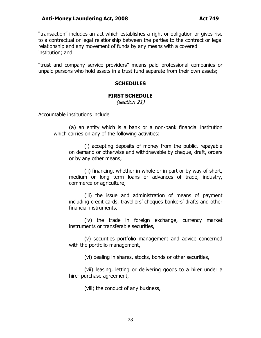"transaction" includes an act which establishes a right or obligation or gives rise to a contractual or legal relationship between the parties to the contract or legal relationship and any movement of funds by any means with a covered institution; and

"trust and company service providers" means paid professional companies or unpaid persons who hold assets in a trust fund separate from their own assets;

#### **SCHEDULES**

#### **FIRST SCHEDULE**

(section 21)

Accountable institutions include

(a) an entity which is a bank or a non-bank financial institution which carries on any of the following activities:

(i) accepting deposits of money from the public, repayable on demand or otherwise and withdrawable by cheque, draft, orders or by any other means,

(ii) financing, whether in whole or in part or by way of short, medium or long term loans or advances of trade, industry, commerce or agriculture,

(iii) the issue and administration of means of payment including credit cards, travellers' cheques bankers' drafts and other financial instruments,

(iv) the trade in foreign exchange, currency market instruments or transferable securities,

(v) securities portfolio management and advice concerned with the portfolio management,

(vi) dealing in shares, stocks, bonds or other securities,

(vii) leasing, letting or delivering goods to a hirer under a hire- purchase agreement,

(viii) the conduct of any business,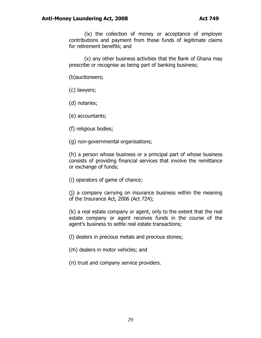(ix) the collection of money or acceptance of employer contributions and payment from these funds of legitimate claims for retirement benefits; and

(x) any other business activities that the Bank of Ghana may prescribe or recognise as being part of banking business;

(b)auctioneers;

(c) lawyers;

(d) notaries;

(e) accountants;

(f) religious bodies;

(g) non-governmental organisations;

(h) a person whose business or a principal part of whose business consists of providing financial services that involve the remittance or exchange of funds;

(i) operators of game of chance;

(j) a company carrying on insurance business within the meaning of the Insurance Act, 2006 (Act 724);

(k) a real estate company or agent, only to the extent that the real estate company or agent receives funds in the course of the agent's business to settle real estate transactions;

(l) dealers in precious metals and precious stones;

(m) dealers in motor vehicles; and

(n) trust and company service providers.